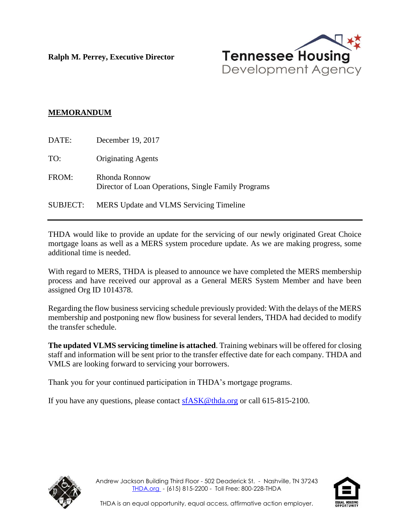**Ralph M. Perrey, Executive Director**



## **MEMORANDUM**

| DATE:           | December 19, 2017                                                    |
|-----------------|----------------------------------------------------------------------|
| TO:             | <b>Originating Agents</b>                                            |
| FROM:           | Rhonda Ronnow<br>Director of Loan Operations, Single Family Programs |
| <b>SUBJECT:</b> | <b>MERS</b> Update and VLMS Servicing Timeline                       |

THDA would like to provide an update for the servicing of our newly originated Great Choice mortgage loans as well as a MERS system procedure update. As we are making progress, some additional time is needed.

With regard to MERS, THDA is pleased to announce we have completed the MERS membership process and have received our approval as a General MERS System Member and have been assigned Org ID 1014378.

Regarding the flow business servicing schedule previously provided: With the delays of the MERS membership and postponing new flow business for several lenders, THDA had decided to modify the transfer schedule.

**The updated VLMS servicing timeline is attached**. Training webinars will be offered for closing staff and information will be sent prior to the transfer effective date for each company. THDA and VMLS are looking forward to servicing your borrowers.

Thank you for your continued participation in THDA's mortgage programs.

If you have any questions, please contact  $\underline{\text{sfASK@thda.org}}$  or call 615-815-2100.



Andrew Jackson Building Third Floor - 502 Deaderick St. - Nashville, TN 37243 [THDA.org](http://www.thda.org/) - (615) 815-2200 - Toll Free: 800-228-THDA